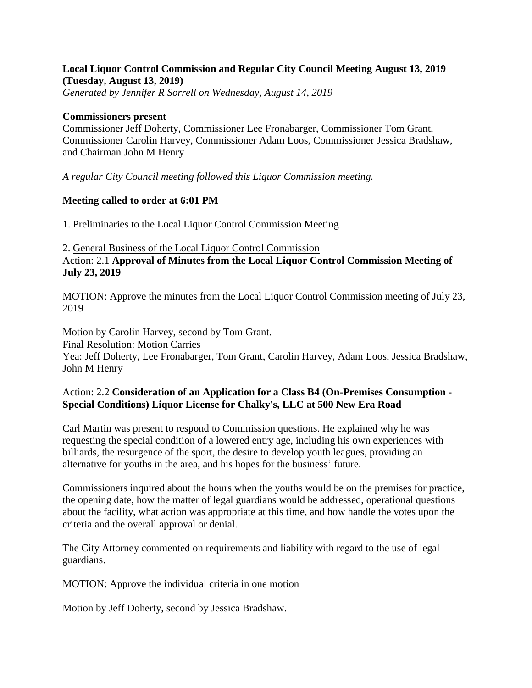### **Local Liquor Control Commission and Regular City Council Meeting August 13, 2019 (Tuesday, August 13, 2019)**

*Generated by Jennifer R Sorrell on Wednesday, August 14, 2019*

#### **Commissioners present**

Commissioner Jeff Doherty, Commissioner Lee Fronabarger, Commissioner Tom Grant, Commissioner Carolin Harvey, Commissioner Adam Loos, Commissioner Jessica Bradshaw, and Chairman John M Henry

*A regular City Council meeting followed this Liquor Commission meeting.*

### **Meeting called to order at 6:01 PM**

1. Preliminaries to the Local Liquor Control Commission Meeting

2. General Business of the Local Liquor Control Commission Action: 2.1 **Approval of Minutes from the Local Liquor Control Commission Meeting of July 23, 2019**

MOTION: Approve the minutes from the Local Liquor Control Commission meeting of July 23, 2019

Motion by Carolin Harvey, second by Tom Grant. Final Resolution: Motion Carries Yea: Jeff Doherty, Lee Fronabarger, Tom Grant, Carolin Harvey, Adam Loos, Jessica Bradshaw, John M Henry

# Action: 2.2 **Consideration of an Application for a Class B4 (On-Premises Consumption - Special Conditions) Liquor License for Chalky's, LLC at 500 New Era Road**

Carl Martin was present to respond to Commission questions. He explained why he was requesting the special condition of a lowered entry age, including his own experiences with billiards, the resurgence of the sport, the desire to develop youth leagues, providing an alternative for youths in the area, and his hopes for the business' future.

Commissioners inquired about the hours when the youths would be on the premises for practice, the opening date, how the matter of legal guardians would be addressed, operational questions about the facility, what action was appropriate at this time, and how handle the votes upon the criteria and the overall approval or denial.

The City Attorney commented on requirements and liability with regard to the use of legal guardians.

MOTION: Approve the individual criteria in one motion

Motion by Jeff Doherty, second by Jessica Bradshaw.